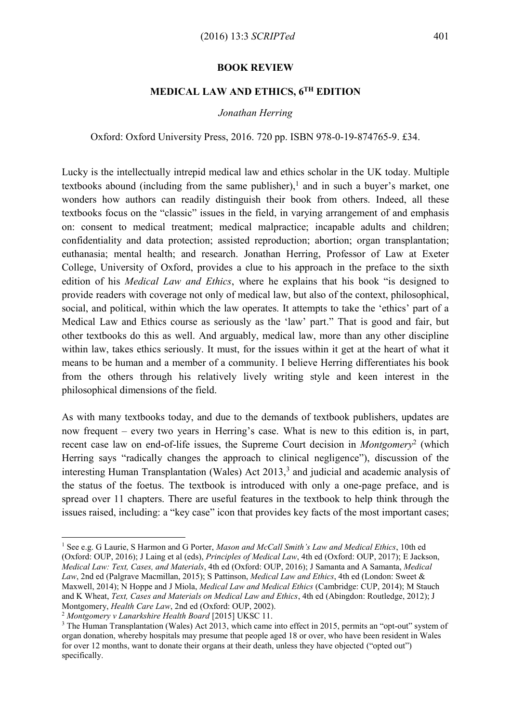## **BOOK REVIEW**

## **MEDICAL LAW AND ETHICS, 6TH EDITION**

## *Jonathan Herring*

Oxford: Oxford University Press, 2016. 720 pp. ISBN 978-0-19-874765-9. £34.

Lucky is the intellectually intrepid medical law and ethics scholar in the UK today. Multiple textbooks abound (including from the same publisher), <sup>1</sup> and in such a buyer's market, one wonders how authors can readily distinguish their book from others. Indeed, all these textbooks focus on the "classic" issues in the field, in varying arrangement of and emphasis on: consent to medical treatment; medical malpractice; incapable adults and children; confidentiality and data protection; assisted reproduction; abortion; organ transplantation; euthanasia; mental health; and research. Jonathan Herring, Professor of Law at Exeter College, University of Oxford, provides a clue to his approach in the preface to the sixth edition of his *Medical Law and Ethics*, where he explains that his book "is designed to provide readers with coverage not only of medical law, but also of the context, philosophical, social, and political, within which the law operates. It attempts to take the 'ethics' part of a Medical Law and Ethics course as seriously as the 'law' part." That is good and fair, but other textbooks do this as well. And arguably, medical law, more than any other discipline within law, takes ethics seriously. It must, for the issues within it get at the heart of what it means to be human and a member of a community. I believe Herring differentiates his book from the others through his relatively lively writing style and keen interest in the philosophical dimensions of the field.

As with many textbooks today, and due to the demands of textbook publishers, updates are now frequent – every two years in Herring's case. What is new to this edition is, in part, recent case law on end-of-life issues, the Supreme Court decision in *Montgomery*<sup>2</sup> (which Herring says "radically changes the approach to clinical negligence"), discussion of the interesting Human Transplantation (Wales) Act  $2013<sup>3</sup>$  and judicial and academic analysis of the status of the foetus. The textbook is introduced with only a one-page preface, and is spread over 11 chapters. There are useful features in the textbook to help think through the issues raised, including: a "key case" icon that provides key facts of the most important cases;

<u>.</u>

<sup>1</sup> See e.g. G Laurie, S Harmon and G Porter, *Mason and McCall Smith's Law and Medical Ethics*, 10th ed (Oxford: OUP, 2016); J Laing et al (eds), *Principles of Medical Law*, 4th ed (Oxford: OUP, 2017); E Jackson, *Medical Law: Text, Cases, and Materials*, 4th ed (Oxford: OUP, 2016); J Samanta and A Samanta, *Medical Law*, 2nd ed (Palgrave Macmillan, 2015); S Pattinson, *Medical Law and Ethics*, 4th ed (London: Sweet & Maxwell, 2014); N Hoppe and J Miola, *Medical Law and Medical Ethics* (Cambridge: CUP, 2014); M Stauch and K Wheat, *Text, Cases and Materials on Medical Law and Ethics*, 4th ed (Abingdon: Routledge, 2012); J Montgomery, *Health Care Law*, 2nd ed (Oxford: OUP, 2002).

<sup>2</sup> *Montgomery v Lanarkshire Health Board* [2015] UKSC 11.

<sup>&</sup>lt;sup>3</sup> The Human Transplantation (Wales) Act 2013, which came into effect in 2015, permits an "opt-out" system of organ donation, whereby hospitals may presume that people aged 18 or over, who have been resident in Wales for over 12 months, want to donate their organs at their death, unless they have objected ("opted out") specifically.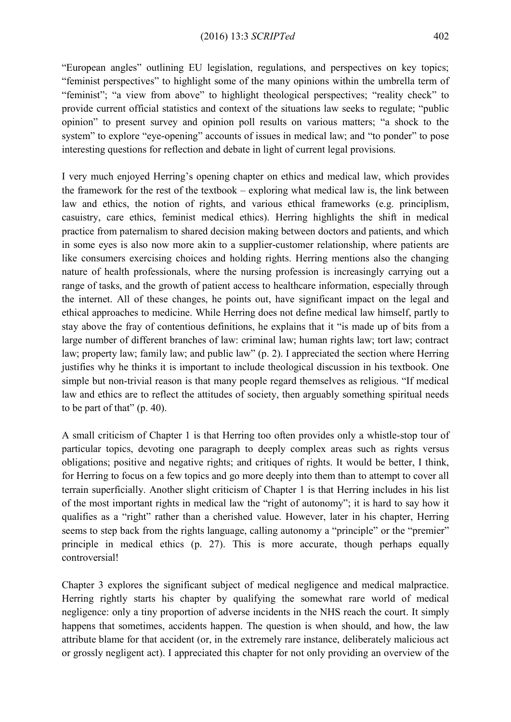"European angles" outlining EU legislation, regulations, and perspectives on key topics; "feminist perspectives" to highlight some of the many opinions within the umbrella term of "feminist"; "a view from above" to highlight theological perspectives; "reality check" to provide current official statistics and context of the situations law seeks to regulate; "public opinion" to present survey and opinion poll results on various matters; "a shock to the system" to explore "eye-opening" accounts of issues in medical law; and "to ponder" to pose interesting questions for reflection and debate in light of current legal provisions.

I very much enjoyed Herring's opening chapter on ethics and medical law, which provides the framework for the rest of the textbook – exploring what medical law is, the link between law and ethics, the notion of rights, and various ethical frameworks (e.g. principlism, casuistry, care ethics, feminist medical ethics). Herring highlights the shift in medical practice from paternalism to shared decision making between doctors and patients, and which in some eyes is also now more akin to a supplier-customer relationship, where patients are like consumers exercising choices and holding rights. Herring mentions also the changing nature of health professionals, where the nursing profession is increasingly carrying out a range of tasks, and the growth of patient access to healthcare information, especially through the internet. All of these changes, he points out, have significant impact on the legal and ethical approaches to medicine. While Herring does not define medical law himself, partly to stay above the fray of contentious definitions, he explains that it "is made up of bits from a large number of different branches of law: criminal law; human rights law; tort law; contract law; property law; family law; and public law" (p. 2). I appreciated the section where Herring justifies why he thinks it is important to include theological discussion in his textbook. One simple but non-trivial reason is that many people regard themselves as religious. "If medical law and ethics are to reflect the attitudes of society, then arguably something spiritual needs to be part of that" (p. 40).

A small criticism of Chapter 1 is that Herring too often provides only a whistle-stop tour of particular topics, devoting one paragraph to deeply complex areas such as rights versus obligations; positive and negative rights; and critiques of rights. It would be better, I think, for Herring to focus on a few topics and go more deeply into them than to attempt to cover all terrain superficially. Another slight criticism of Chapter 1 is that Herring includes in his list of the most important rights in medical law the "right of autonomy"; it is hard to say how it qualifies as a "right" rather than a cherished value. However, later in his chapter, Herring seems to step back from the rights language, calling autonomy a "principle" or the "premier" principle in medical ethics (p. 27). This is more accurate, though perhaps equally controversial!

Chapter 3 explores the significant subject of medical negligence and medical malpractice. Herring rightly starts his chapter by qualifying the somewhat rare world of medical negligence: only a tiny proportion of adverse incidents in the NHS reach the court. It simply happens that sometimes, accidents happen. The question is when should, and how, the law attribute blame for that accident (or, in the extremely rare instance, deliberately malicious act or grossly negligent act). I appreciated this chapter for not only providing an overview of the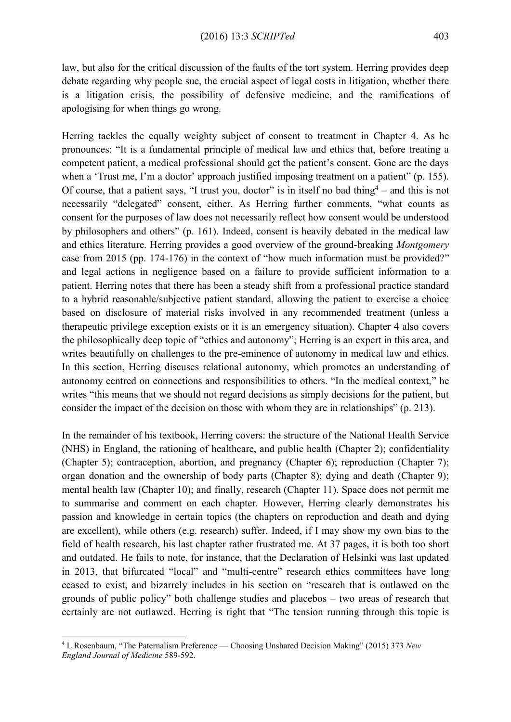law, but also for the critical discussion of the faults of the tort system. Herring provides deep debate regarding why people sue, the crucial aspect of legal costs in litigation, whether there is a litigation crisis, the possibility of defensive medicine, and the ramifications of apologising for when things go wrong.

Herring tackles the equally weighty subject of consent to treatment in Chapter 4. As he pronounces: "It is a fundamental principle of medical law and ethics that, before treating a competent patient, a medical professional should get the patient's consent. Gone are the days when a 'Trust me, I'm a doctor' approach justified imposing treatment on a patient" (p. 155). Of course, that a patient says, "I trust you, doctor" is in itself no bad thing<sup>4</sup> – and this is not necessarily "delegated" consent, either. As Herring further comments, "what counts as consent for the purposes of law does not necessarily reflect how consent would be understood by philosophers and others" (p. 161). Indeed, consent is heavily debated in the medical law and ethics literature. Herring provides a good overview of the ground-breaking *Montgomery*  case from 2015 (pp. 174-176) in the context of "how much information must be provided?" and legal actions in negligence based on a failure to provide sufficient information to a patient. Herring notes that there has been a steady shift from a professional practice standard to a hybrid reasonable/subjective patient standard, allowing the patient to exercise a choice based on disclosure of material risks involved in any recommended treatment (unless a therapeutic privilege exception exists or it is an emergency situation). Chapter 4 also covers the philosophically deep topic of "ethics and autonomy"; Herring is an expert in this area, and writes beautifully on challenges to the pre-eminence of autonomy in medical law and ethics. In this section, Herring discuses relational autonomy, which promotes an understanding of autonomy centred on connections and responsibilities to others. "In the medical context," he writes "this means that we should not regard decisions as simply decisions for the patient, but consider the impact of the decision on those with whom they are in relationships" (p. 213).

In the remainder of his textbook, Herring covers: the structure of the National Health Service (NHS) in England, the rationing of healthcare, and public health (Chapter 2); confidentiality (Chapter 5); contraception, abortion, and pregnancy (Chapter 6); reproduction (Chapter 7); organ donation and the ownership of body parts (Chapter 8); dying and death (Chapter 9); mental health law (Chapter 10); and finally, research (Chapter 11). Space does not permit me to summarise and comment on each chapter. However, Herring clearly demonstrates his passion and knowledge in certain topics (the chapters on reproduction and death and dying are excellent), while others (e.g. research) suffer. Indeed, if I may show my own bias to the field of health research, his last chapter rather frustrated me. At 37 pages, it is both too short and outdated. He fails to note, for instance, that the Declaration of Helsinki was last updated in 2013, that bifurcated "local" and "multi-centre" research ethics committees have long ceased to exist, and bizarrely includes in his section on "research that is outlawed on the grounds of public policy" both challenge studies and placebos – two areas of research that certainly are not outlawed. Herring is right that "The tension running through this topic is

<u>.</u>

<sup>4</sup> L Rosenbaum, "The Paternalism Preference — Choosing Unshared Decision Making" (2015) 373 *New England Journal of Medicine* 589-592.